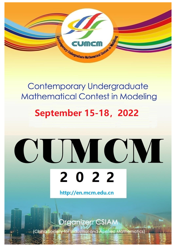

### **Contemporary Undergraduate Mathematical Contest in Modeling**

## **September 15-18, 2022**

# CUMCM 2022

http://en.mcm.edu.cn

rganizer: CSIAN

ety for Industrial and Applied Mathematics) (China Soci